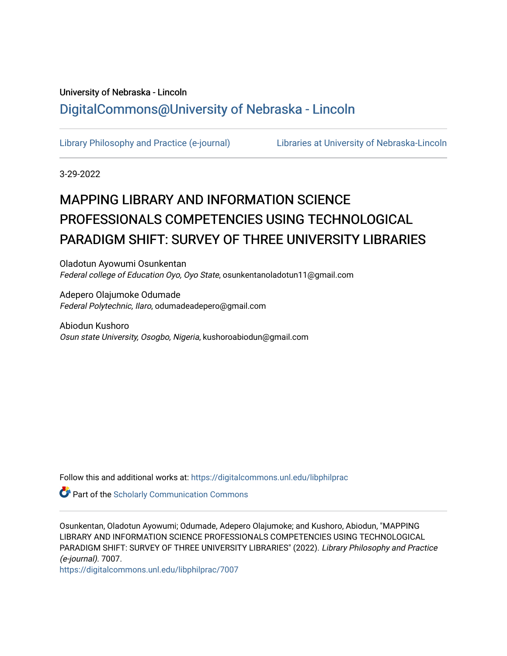# University of Nebraska - Lincoln [DigitalCommons@University of Nebraska - Lincoln](https://digitalcommons.unl.edu/)

[Library Philosophy and Practice \(e-journal\)](https://digitalcommons.unl.edu/libphilprac) [Libraries at University of Nebraska-Lincoln](https://digitalcommons.unl.edu/libraries) 

3-29-2022

# MAPPING LIBRARY AND INFORMATION SCIENCE PROFESSIONALS COMPETENCIES USING TECHNOLOGICAL PARADIGM SHIFT: SURVEY OF THREE UNIVERSITY LIBRARIES

Oladotun Ayowumi Osunkentan Federal college of Education Oyo, Oyo State, osunkentanoladotun11@gmail.com

Adepero Olajumoke Odumade Federal Polytechnic, Ilaro, odumadeadepero@gmail.com

Abiodun Kushoro Osun state University, Osogbo, Nigeria, kushoroabiodun@gmail.com

Follow this and additional works at: [https://digitalcommons.unl.edu/libphilprac](https://digitalcommons.unl.edu/libphilprac?utm_source=digitalcommons.unl.edu%2Flibphilprac%2F7007&utm_medium=PDF&utm_campaign=PDFCoverPages) 

**Part of the Scholarly Communication Commons** 

Osunkentan, Oladotun Ayowumi; Odumade, Adepero Olajumoke; and Kushoro, Abiodun, "MAPPING LIBRARY AND INFORMATION SCIENCE PROFESSIONALS COMPETENCIES USING TECHNOLOGICAL PARADIGM SHIFT: SURVEY OF THREE UNIVERSITY LIBRARIES" (2022). Library Philosophy and Practice (e-journal). 7007.

[https://digitalcommons.unl.edu/libphilprac/7007](https://digitalcommons.unl.edu/libphilprac/7007?utm_source=digitalcommons.unl.edu%2Flibphilprac%2F7007&utm_medium=PDF&utm_campaign=PDFCoverPages)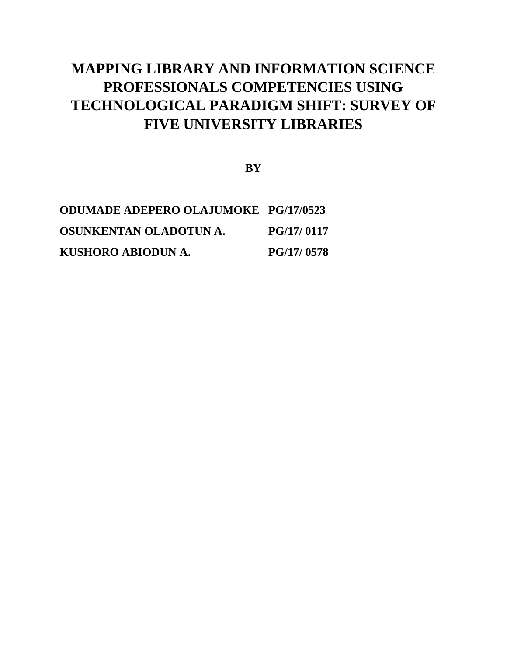# **MAPPING LIBRARY AND INFORMATION SCIENCE PROFESSIONALS COMPETENCIES USING TECHNOLOGICAL PARADIGM SHIFT: SURVEY OF FIVE UNIVERSITY LIBRARIES**

**BY**

| <b>ODUMADE ADEPERO OLAJUMOKE PG/17/0523</b> |                   |
|---------------------------------------------|-------------------|
| OSUNKENTAN OLADOTUNA.                       | PG/17/0117        |
| KUSHORO ABIODUN A.                          | <b>PG/17/0578</b> |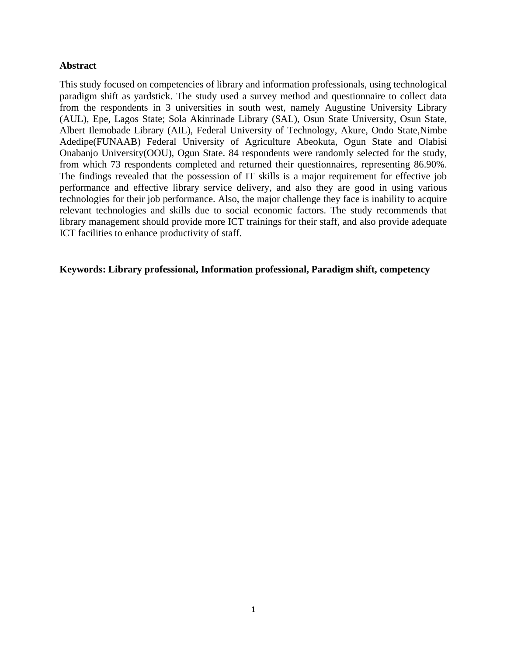## **Abstract**

This study focused on competencies of library and information professionals, using technological paradigm shift as yardstick. The study used a survey method and questionnaire to collect data from the respondents in 3 universities in south west, namely Augustine University Library (AUL), Epe, Lagos State; Sola Akinrinade Library (SAL), Osun State University, Osun State, Albert Ilemobade Library (AIL), Federal University of Technology, Akure, Ondo State,Nimbe Adedipe(FUNAAB) Federal University of Agriculture Abeokuta, Ogun State and Olabisi Onabanjo University(OOU), Ogun State. 84 respondents were randomly selected for the study, from which 73 respondents completed and returned their questionnaires, representing 86.90%. The findings revealed that the possession of IT skills is a major requirement for effective job performance and effective library service delivery, and also they are good in using various technologies for their job performance. Also, the major challenge they face is inability to acquire relevant technologies and skills due to social economic factors. The study recommends that library management should provide more ICT trainings for their staff, and also provide adequate ICT facilities to enhance productivity of staff.

## **Keywords: Library professional, Information professional, Paradigm shift, competency**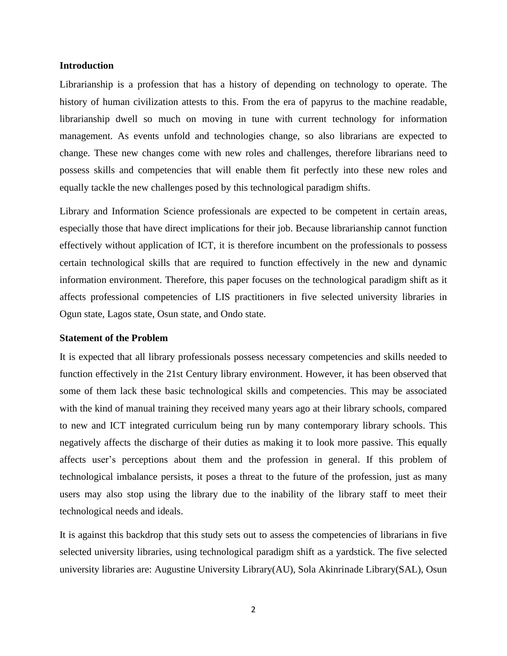#### **Introduction**

Librarianship is a profession that has a history of depending on technology to operate. The history of human civilization attests to this. From the era of papyrus to the machine readable, librarianship dwell so much on moving in tune with current technology for information management. As events unfold and technologies change, so also librarians are expected to change. These new changes come with new roles and challenges, therefore librarians need to possess skills and competencies that will enable them fit perfectly into these new roles and equally tackle the new challenges posed by this technological paradigm shifts.

Library and Information Science professionals are expected to be competent in certain areas, especially those that have direct implications for their job. Because librarianship cannot function effectively without application of ICT, it is therefore incumbent on the professionals to possess certain technological skills that are required to function effectively in the new and dynamic information environment. Therefore, this paper focuses on the technological paradigm shift as it affects professional competencies of LIS practitioners in five selected university libraries in Ogun state, Lagos state, Osun state, and Ondo state.

#### **Statement of the Problem**

It is expected that all library professionals possess necessary competencies and skills needed to function effectively in the 21st Century library environment. However, it has been observed that some of them lack these basic technological skills and competencies. This may be associated with the kind of manual training they received many years ago at their library schools, compared to new and ICT integrated curriculum being run by many contemporary library schools. This negatively affects the discharge of their duties as making it to look more passive. This equally affects user's perceptions about them and the profession in general. If this problem of technological imbalance persists, it poses a threat to the future of the profession, just as many users may also stop using the library due to the inability of the library staff to meet their technological needs and ideals.

It is against this backdrop that this study sets out to assess the competencies of librarians in five selected university libraries, using technological paradigm shift as a yardstick. The five selected university libraries are: Augustine University Library(AU), Sola Akinrinade Library(SAL), Osun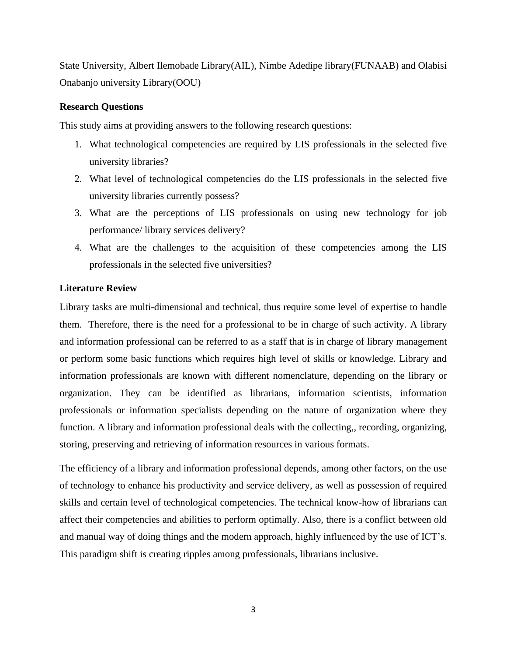State University, Albert Ilemobade Library(AIL), Nimbe Adedipe library(FUNAAB) and Olabisi Onabanjo university Library(OOU)

## **Research Questions**

This study aims at providing answers to the following research questions:

- 1. What technological competencies are required by LIS professionals in the selected five university libraries?
- 2. What level of technological competencies do the LIS professionals in the selected five university libraries currently possess?
- 3. What are the perceptions of LIS professionals on using new technology for job performance/ library services delivery?
- 4. What are the challenges to the acquisition of these competencies among the LIS professionals in the selected five universities?

## **Literature Review**

Library tasks are multi-dimensional and technical, thus require some level of expertise to handle them. Therefore, there is the need for a professional to be in charge of such activity. A library and information professional can be referred to as a staff that is in charge of library management or perform some basic functions which requires high level of skills or knowledge. Library and information professionals are known with different nomenclature, depending on the library or organization. They can be identified as librarians, information scientists, information professionals or information specialists depending on the nature of organization where they function. A library and information professional deals with the collecting,, recording, organizing, storing, preserving and retrieving of information resources in various formats.

The efficiency of a library and information professional depends, among other factors, on the use of technology to enhance his productivity and service delivery, as well as possession of required skills and certain level of technological competencies. The technical know-how of librarians can affect their competencies and abilities to perform optimally. Also, there is a conflict between old and manual way of doing things and the modern approach, highly influenced by the use of ICT's. This paradigm shift is creating ripples among professionals, librarians inclusive.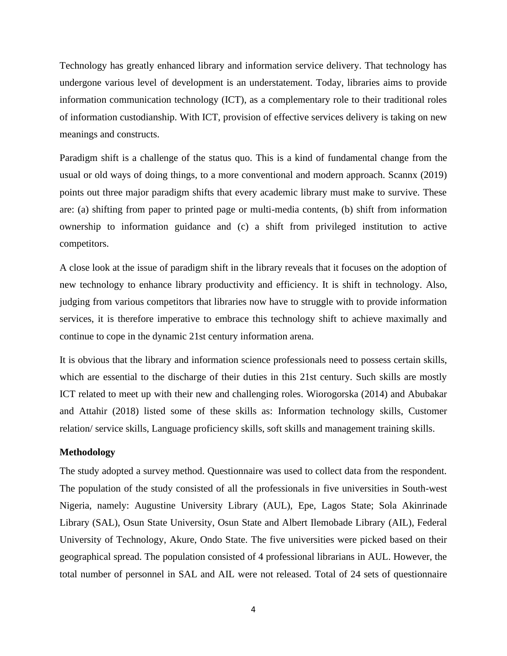Technology has greatly enhanced library and information service delivery. That technology has undergone various level of development is an understatement. Today, libraries aims to provide information communication technology (ICT), as a complementary role to their traditional roles of information custodianship. With ICT, provision of effective services delivery is taking on new meanings and constructs.

Paradigm shift is a challenge of the status quo. This is a kind of fundamental change from the usual or old ways of doing things, to a more conventional and modern approach. Scannx (2019) points out three major paradigm shifts that every academic library must make to survive. These are: (a) shifting from paper to printed page or multi-media contents, (b) shift from information ownership to information guidance and (c) a shift from privileged institution to active competitors.

A close look at the issue of paradigm shift in the library reveals that it focuses on the adoption of new technology to enhance library productivity and efficiency. It is shift in technology. Also, judging from various competitors that libraries now have to struggle with to provide information services, it is therefore imperative to embrace this technology shift to achieve maximally and continue to cope in the dynamic 21st century information arena.

It is obvious that the library and information science professionals need to possess certain skills, which are essential to the discharge of their duties in this 21st century. Such skills are mostly ICT related to meet up with their new and challenging roles. Wiorogorska (2014) and Abubakar and Attahir (2018) listed some of these skills as: Information technology skills, Customer relation/ service skills, Language proficiency skills, soft skills and management training skills.

#### **Methodology**

The study adopted a survey method. Questionnaire was used to collect data from the respondent. The population of the study consisted of all the professionals in five universities in South-west Nigeria, namely: Augustine University Library (AUL), Epe, Lagos State; Sola Akinrinade Library (SAL), Osun State University, Osun State and Albert Ilemobade Library (AIL), Federal University of Technology, Akure, Ondo State. The five universities were picked based on their geographical spread. The population consisted of 4 professional librarians in AUL. However, the total number of personnel in SAL and AIL were not released. Total of 24 sets of questionnaire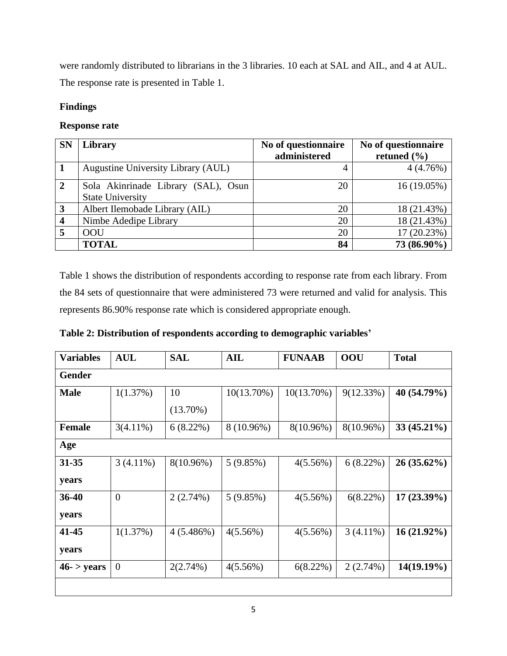were randomly distributed to librarians in the 3 libraries. 10 each at SAL and AIL, and 4 at AUL. The response rate is presented in Table 1.

# **Findings**

# **Response rate**

| <b>SN</b>      | Library                                                        | No of questionnaire<br>administered | No of questionnaire<br>retuned $(\% )$ |
|----------------|----------------------------------------------------------------|-------------------------------------|----------------------------------------|
|                | Augustine University Library (AUL)                             | 4                                   | 4(4.76%)                               |
| $\overline{2}$ | Sola Akinrinade Library (SAL), Osun<br><b>State University</b> | 20                                  | 16 (19.05%)                            |
| $\mathbf{3}$   | Albert Ilemobade Library (AIL)                                 | 20                                  | 18 (21.43%)                            |
| 4              | Nimbe Adedipe Library                                          | 20                                  | 18 (21.43%)                            |
| 5              | <b>OOU</b>                                                     | 20                                  | 17 (20.23%)                            |
|                | <b>TOTAL</b>                                                   | 84                                  | 73 (86.90%)                            |

Table 1 shows the distribution of respondents according to response rate from each library. From the 84 sets of questionnaire that were administered 73 were returned and valid for analysis. This represents 86.90% response rate which is considered appropriate enough.

| Table 2: Distribution of respondents according to demographic variables' |  |
|--------------------------------------------------------------------------|--|
|                                                                          |  |

| Variables     | <b>AUL</b>     | <b>SAL</b>  | AIL           | <b>FUNAAB</b> | <b>OOU</b>  | <b>Total</b>  |
|---------------|----------------|-------------|---------------|---------------|-------------|---------------|
| <b>Gender</b> |                |             |               |               |             |               |
| <b>Male</b>   | 1(1.37%)       | 10          | $10(13.70\%)$ | $10(13.70\%)$ | 9(12.33%)   | 40 (54.79%)   |
|               |                | $(13.70\%)$ |               |               |             |               |
| <b>Female</b> | $3(4.11\%)$    | $6(8.22\%)$ | 8 (10.96%)    | 8(10.96%)     | 8(10.96%)   | 33 (45.21%)   |
| Age           |                |             |               |               |             |               |
| $31 - 35$     | $3(4.11\%)$    | 8(10.96%)   | 5(9.85%)      | $4(5.56\%)$   | 6(8.22%)    | $26(35.62\%)$ |
| years         |                |             |               |               |             |               |
| 36-40         | $\overline{0}$ | $2(2.74\%)$ | 5(9.85%)      | $4(5.56\%)$   | 6(8.22%)    | $17(23.39\%)$ |
| years         |                |             |               |               |             |               |
| 41-45         | 1(1.37%)       | 4(5.486%)   | 4(5.56%)      | $4(5.56\%)$   | $3(4.11\%)$ | $16(21.92\%)$ |
| years         |                |             |               |               |             |               |
| $46 -$ years  | $\theta$       | $2(2.74\%)$ | $4(5.56\%)$   | 6(8.22%)      | 2(2.74%)    | 14(19.19%)    |
|               |                |             |               |               |             |               |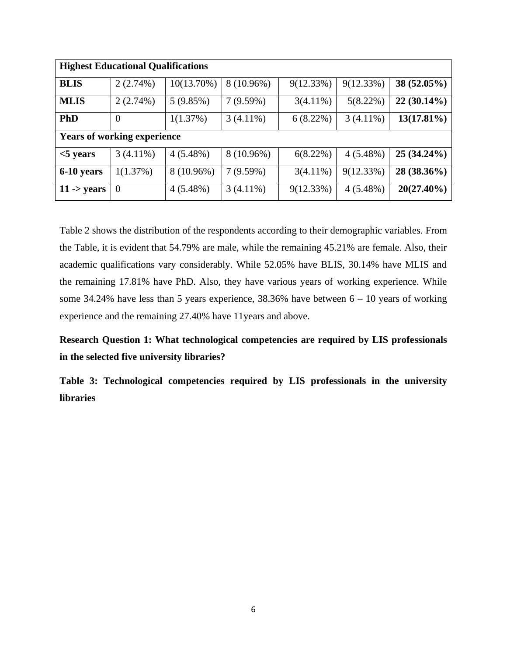| <b>Highest Educational Qualifications</b> |                |               |             |             |             |               |  |
|-------------------------------------------|----------------|---------------|-------------|-------------|-------------|---------------|--|
| <b>BLIS</b>                               | 2(2.74%)       | $10(13.70\%)$ | 8 (10.96%)  | 9(12.33%)   | 9(12.33%)   | $38(52.05\%)$ |  |
| <b>MLIS</b>                               | 2(2.74%)       | 5(9.85%)      | 7(9.59%)    | $3(4.11\%)$ | 5(8.22%)    | $22(30.14\%)$ |  |
| <b>PhD</b>                                | $\overline{0}$ | 1(1.37%)      | $3(4.11\%)$ | 6(8.22%)    | $3(4.11\%)$ | $13(17.81\%)$ |  |
| <b>Years of working experience</b>        |                |               |             |             |             |               |  |
| $<$ 5 years                               | $3(4.11\%)$    | $4(5.48\%)$   | 8 (10.96%)  | $6(8.22\%)$ | $4(5.48\%)$ | $25(34.24\%)$ |  |
| 6-10 years                                | 1(1.37%)       | 8 (10.96%)    | 7(9.59%)    | $3(4.11\%)$ | 9(12.33%)   | 28 (38.36%)   |  |
| $11 - years$                              | $\overline{0}$ | $4(5.48\%)$   | $3(4.11\%)$ | 9(12.33%)   | $4(5.48\%)$ | 20(27.40%)    |  |

Table 2 shows the distribution of the respondents according to their demographic variables. From the Table, it is evident that 54.79% are male, while the remaining 45.21% are female. Also, their academic qualifications vary considerably. While 52.05% have BLIS, 30.14% have MLIS and the remaining 17.81% have PhD. Also, they have various years of working experience. While some 34.24% have less than 5 years experience, 38.36% have between  $6 - 10$  years of working experience and the remaining 27.40% have 11years and above.

**Research Question 1: What technological competencies are required by LIS professionals in the selected five university libraries?**

**Table 3: Technological competencies required by LIS professionals in the university libraries**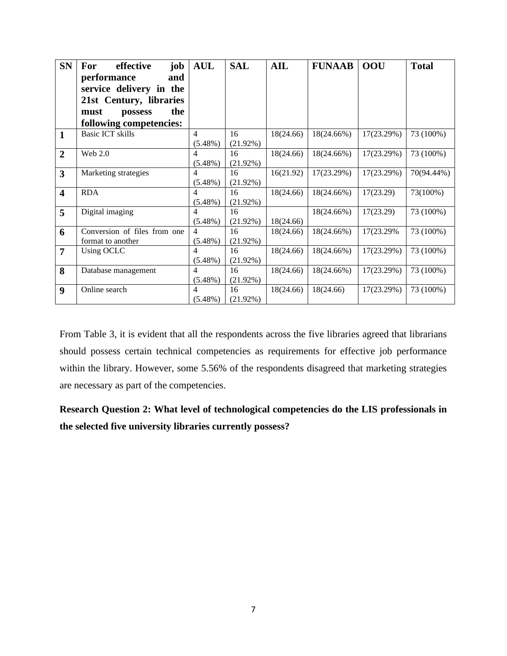| <b>SN</b>               | effective<br>job<br>For      | <b>AUL</b>     | <b>SAL</b>  | AIL       | <b>FUNAAB</b> | <b>OOU</b> | <b>Total</b> |
|-------------------------|------------------------------|----------------|-------------|-----------|---------------|------------|--------------|
|                         | performance<br>and           |                |             |           |               |            |              |
|                         | service delivery in the      |                |             |           |               |            |              |
|                         | 21st Century, libraries      |                |             |           |               |            |              |
|                         | the<br>must<br>possess       |                |             |           |               |            |              |
|                         | following competencies:      |                |             |           |               |            |              |
| $\mathbf{1}$            | <b>Basic ICT skills</b>      | $\overline{4}$ | 16          | 18(24.66) | 18(24.66%)    | 17(23.29%) | 73 (100%)    |
|                         |                              | $(5.48\%)$     | $(21.92\%)$ |           |               |            |              |
| $\overline{2}$          | Web 2.0                      | 4              | 16          | 18(24.66) | 18(24.66%)    | 17(23.29%) | 73 (100%)    |
|                         |                              | $(5.48\%)$     | $(21.92\%)$ |           |               |            |              |
| 3                       | Marketing strategies         | 4              | 16          | 16(21.92) | 17(23.29%)    | 17(23.29%) | 70(94.44%)   |
|                         |                              | $(5.48\%)$     | $(21.92\%)$ |           |               |            |              |
| $\overline{\mathbf{4}}$ | <b>RDA</b>                   | 4              | 16          | 18(24.66) | 18(24.66%)    | 17(23.29)  | 73(100%)     |
|                         |                              | $(5.48\%)$     | $(21.92\%)$ |           |               |            |              |
| 5                       | Digital imaging              | 4              | 16          |           | 18(24.66%)    | 17(23.29)  | 73 (100%)    |
|                         |                              | $(5.48\%)$     | $(21.92\%)$ | 18(24.66) |               |            |              |
| 6                       | Conversion of files from one | 4              | 16          | 18(24.66) | 18(24.66%)    | 17(23.29%) | 73 (100%)    |
|                         | format to another            | $(5.48\%)$     | $(21.92\%)$ |           |               |            |              |
| $\overline{7}$          | Using OCLC                   | 4              | 16          | 18(24.66) | 18(24.66%)    | 17(23.29%) | 73 (100%)    |
|                         |                              | $(5.48\%)$     | $(21.92\%)$ |           |               |            |              |
| 8                       | Database management          | 4              | 16          | 18(24.66) | 18(24.66%)    | 17(23.29%) | 73 (100%)    |
|                         |                              | $(5.48\%)$     | $(21.92\%)$ |           |               |            |              |
| $\boldsymbol{9}$        | Online search                | 4              | 16          | 18(24.66) | 18(24.66)     | 17(23.29%) | 73 (100%)    |
|                         |                              | $(5.48\%)$     | $(21.92\%)$ |           |               |            |              |

From Table 3, it is evident that all the respondents across the five libraries agreed that librarians should possess certain technical competencies as requirements for effective job performance within the library. However, some 5.56% of the respondents disagreed that marketing strategies are necessary as part of the competencies.

# **Research Question 2: What level of technological competencies do the LIS professionals in the selected five university libraries currently possess?**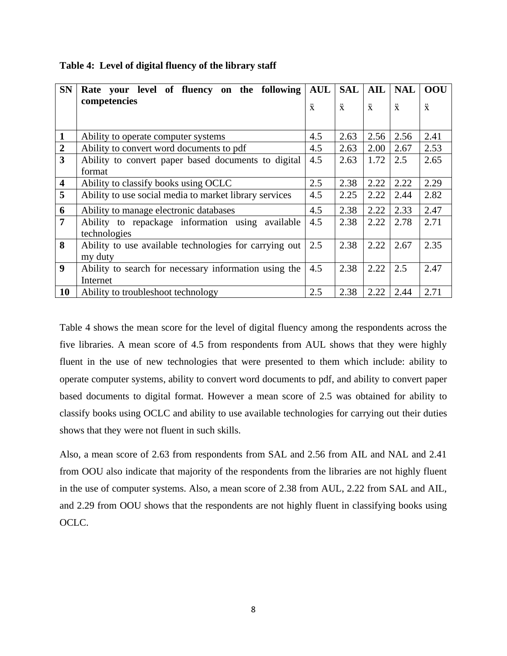| <b>SN</b>               | Rate your level of fluency on the following            | <b>AUL</b> | <b>SAL</b> | AIL        | <b>NAL</b> | OOU        |
|-------------------------|--------------------------------------------------------|------------|------------|------------|------------|------------|
|                         | competencies                                           | $\ddot{x}$ | $\ddot{x}$ | $\ddot{x}$ | $\ddot{x}$ | $\ddot{x}$ |
|                         |                                                        |            |            |            |            |            |
| $\mathbf{1}$            | Ability to operate computer systems                    | 4.5        | 2.63       | 2.56       | 2.56       | 2.41       |
| $\overline{2}$          | Ability to convert word documents to pdf               | 4.5        | 2.63       | 2.00       | 2.67       | 2.53       |
| 3                       | Ability to convert paper based documents to digital    | 4.5        | 2.63       | 1.72       | 2.5        | 2.65       |
|                         | format                                                 |            |            |            |            |            |
| $\overline{\mathbf{4}}$ | Ability to classify books using OCLC                   | 2.5        | 2.38       | 2.22       | 2.22       | 2.29       |
| 5                       | Ability to use social media to market library services | 4.5        | 2.25       | 2.22       | 2.44       | 2.82       |
| 6                       | Ability to manage electronic databases                 | 4.5        | 2.38       | 2.22       | 2.33       | 2.47       |
| $\overline{7}$          | Ability to repackage information using available       | 4.5        | 2.38       | 2.22       | 2.78       | 2.71       |
|                         | technologies                                           |            |            |            |            |            |
| 8                       | Ability to use available technologies for carrying out | 2.5        | 2.38       | 2.22       | 2.67       | 2.35       |
|                         | my duty                                                |            |            |            |            |            |
| $\boldsymbol{9}$        | Ability to search for necessary information using the  | 4.5        | 2.38       | 2.22       | 2.5        | 2.47       |
|                         | Internet                                               |            |            |            |            |            |
| <b>10</b>               | Ability to troubleshoot technology                     | 2.5        | 2.38       | 2.22       | 2.44       | 2.71       |

**Table 4: Level of digital fluency of the library staff**

Table 4 shows the mean score for the level of digital fluency among the respondents across the five libraries. A mean score of 4.5 from respondents from AUL shows that they were highly fluent in the use of new technologies that were presented to them which include: ability to operate computer systems, ability to convert word documents to pdf, and ability to convert paper based documents to digital format. However a mean score of 2.5 was obtained for ability to classify books using OCLC and ability to use available technologies for carrying out their duties shows that they were not fluent in such skills.

Also, a mean score of 2.63 from respondents from SAL and 2.56 from AIL and NAL and 2.41 from OOU also indicate that majority of the respondents from the libraries are not highly fluent in the use of computer systems. Also, a mean score of 2.38 from AUL, 2.22 from SAL and AIL, and 2.29 from OOU shows that the respondents are not highly fluent in classifying books using OCLC.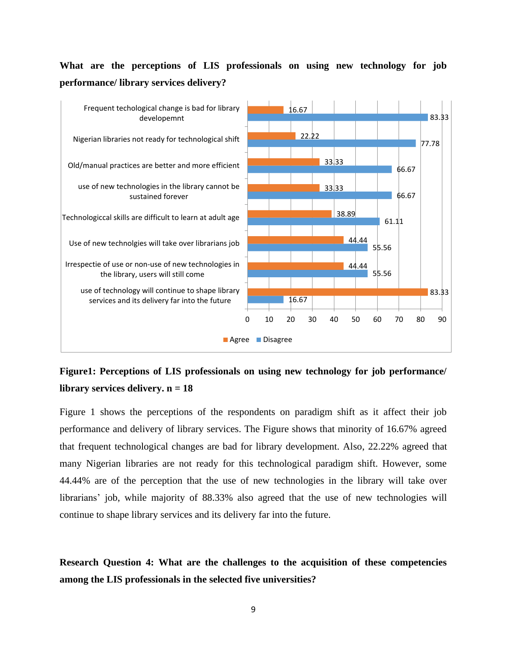# **What are the perceptions of LIS professionals on using new technology for job performance/ library services delivery?**



# **Figure1: Perceptions of LIS professionals on using new technology for job performance/ library services delivery. n = 18**

Figure 1 shows the perceptions of the respondents on paradigm shift as it affect their job performance and delivery of library services. The Figure shows that minority of 16.67% agreed that frequent technological changes are bad for library development. Also, 22.22% agreed that many Nigerian libraries are not ready for this technological paradigm shift. However, some 44.44% are of the perception that the use of new technologies in the library will take over librarians' job, while majority of 88.33% also agreed that the use of new technologies will continue to shape library services and its delivery far into the future.

**Research Question 4: What are the challenges to the acquisition of these competencies among the LIS professionals in the selected five universities?**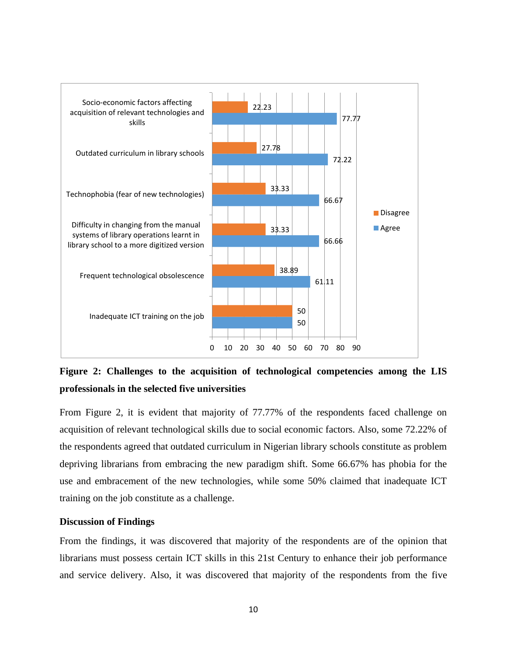

**Figure 2: Challenges to the acquisition of technological competencies among the LIS professionals in the selected five universities**

From Figure 2, it is evident that majority of 77.77% of the respondents faced challenge on acquisition of relevant technological skills due to social economic factors. Also, some 72.22% of the respondents agreed that outdated curriculum in Nigerian library schools constitute as problem depriving librarians from embracing the new paradigm shift. Some 66.67% has phobia for the use and embracement of the new technologies, while some 50% claimed that inadequate ICT training on the job constitute as a challenge.

### **Discussion of Findings**

From the findings, it was discovered that majority of the respondents are of the opinion that librarians must possess certain ICT skills in this 21st Century to enhance their job performance and service delivery. Also, it was discovered that majority of the respondents from the five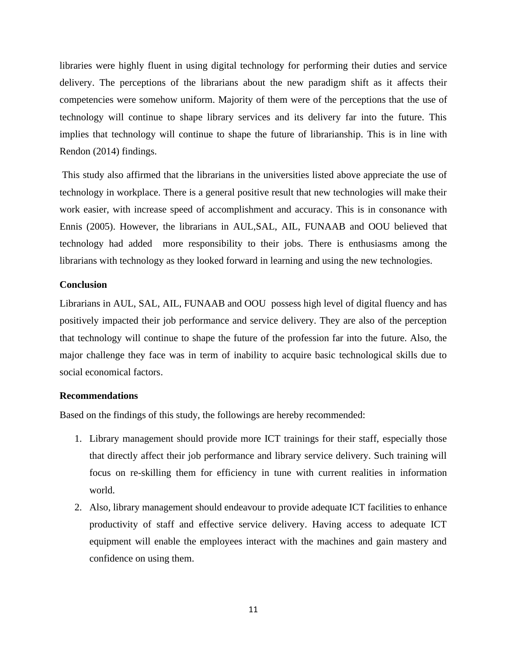libraries were highly fluent in using digital technology for performing their duties and service delivery. The perceptions of the librarians about the new paradigm shift as it affects their competencies were somehow uniform. Majority of them were of the perceptions that the use of technology will continue to shape library services and its delivery far into the future. This implies that technology will continue to shape the future of librarianship. This is in line with Rendon (2014) findings.

This study also affirmed that the librarians in the universities listed above appreciate the use of technology in workplace. There is a general positive result that new technologies will make their work easier, with increase speed of accomplishment and accuracy. This is in consonance with Ennis (2005). However, the librarians in AUL,SAL, AIL, FUNAAB and OOU believed that technology had added more responsibility to their jobs. There is enthusiasms among the librarians with technology as they looked forward in learning and using the new technologies.

### **Conclusion**

Librarians in AUL, SAL, AIL, FUNAAB and OOU possess high level of digital fluency and has positively impacted their job performance and service delivery. They are also of the perception that technology will continue to shape the future of the profession far into the future. Also, the major challenge they face was in term of inability to acquire basic technological skills due to social economical factors.

#### **Recommendations**

Based on the findings of this study, the followings are hereby recommended:

- 1. Library management should provide more ICT trainings for their staff, especially those that directly affect their job performance and library service delivery. Such training will focus on re-skilling them for efficiency in tune with current realities in information world.
- 2. Also, library management should endeavour to provide adequate ICT facilities to enhance productivity of staff and effective service delivery. Having access to adequate ICT equipment will enable the employees interact with the machines and gain mastery and confidence on using them.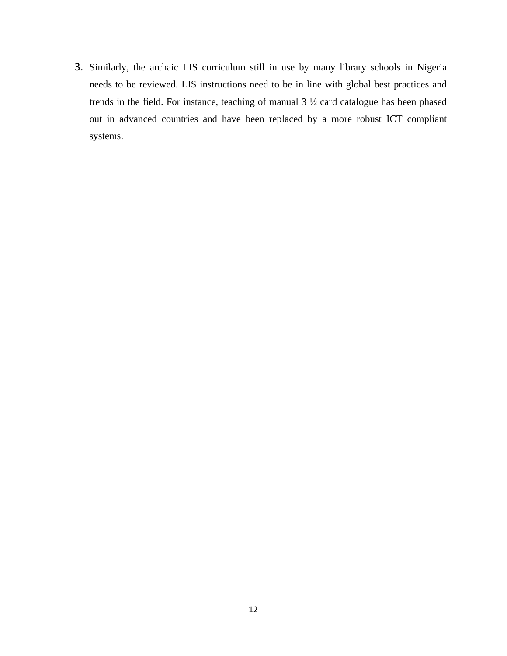3. Similarly, the archaic LIS curriculum still in use by many library schools in Nigeria needs to be reviewed. LIS instructions need to be in line with global best practices and trends in the field. For instance, teaching of manual 3 ½ card catalogue has been phased out in advanced countries and have been replaced by a more robust ICT compliant systems.